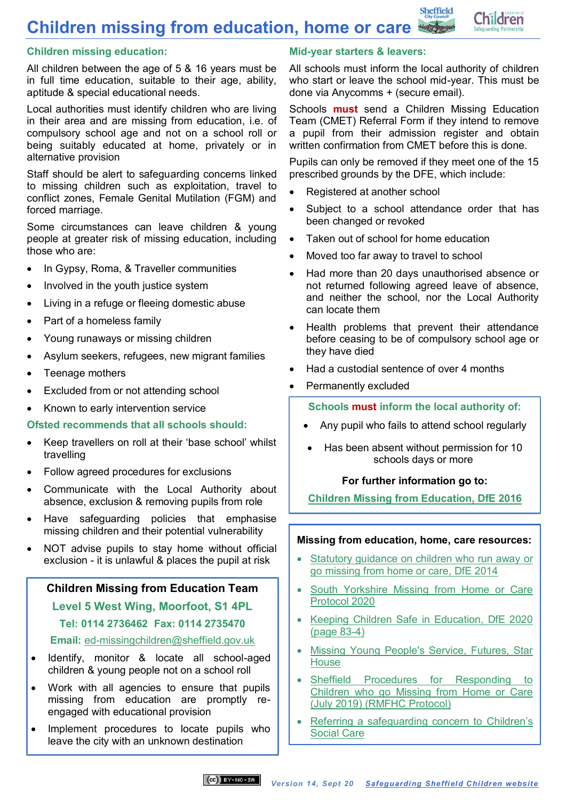**Children missing from education, home or care**

## **Children missing education:**

All children between the age of 5 & 16 years must be in full time education, suitable to their age, ability, aptitude & special educational needs.

Local authorities must identify children who are living in their area and are missing from education, i.e. of compulsory school age and not on a school roll or being suitably educated at home, privately or in alternative provision

Staff should be alert to safeguarding concerns linked to missing children such as exploitation, travel to conflict zones, Female Genital Mutilation (FGM) and forced marriage.

Some circumstances can leave children & young people at greater risk of missing education, including those who are:

- In Gypsy, Roma, & Traveller communities
- Involved in the youth justice system
- Living in a refuge or fleeing domestic abuse
- Part of a homeless family
- Young runaways or missing children
- Asylum seekers, refugees, new migrant families
- Teenage mothers
- Excluded from or not attending school
- Known to early intervention service

#### **Ofsted recommends that all schools should:**

- Keep travellers on roll at their 'base school' whilst travelling
- Follow agreed procedures for exclusions
- Communicate with the Local Authority about absence, exclusion & removing pupils from role
- Have safeguarding policies that emphasise missing children and their potential vulnerability
- NOT advise pupils to stay home without official exclusion - it is unlawful & places the pupil at risk

### **Children Missing from Education Team**

**Level 5 West Wing, Moorfoot, S1 4PL Tel: 0114 2736462 Fax: 0114 2735470**

# **Email:** [ed-missingchildren@sheffield.gov.uk](mailto:ed-missingchildren@sheffield.gov.uk)

- Identify, monitor & locate all school-aged children & young people not on a school roll
- Work with all agencies to ensure that pupils missing from education are promptly reengaged with educational provision
- Implement procedures to locate pupils who leave the city with an unknown destination

## **Mid-year starters & leavers:**

All schools must inform the local authority of children who start or leave the school mid-year. This must be done via Anycomms + (secure email).

Sheffield

**Children** 

Schools **must** send a Children Missing Education Team (CMET) Referral Form if they intend to remove a pupil from their admission register and obtain written confirmation from CMET before this is done.

Pupils can only be removed if they meet one of the 15 prescribed grounds by the DFE, which include:

- Registered at another school
- Subject to a school attendance order that has been changed or revoked
- Taken out of school for home education
- Moved too far away to travel to school
- Had more than 20 days unauthorised absence or not returned following agreed leave of absence, and neither the school, nor the Local Authority can locate them
- Health problems that prevent their attendance before ceasing to be of compulsory school age or they have died
- Had a custodial sentence of over 4 months
- Permanently excluded

### **Schools must inform the local authority of:**

- Any pupil who fails to attend school regularly
- Has been absent without permission for 10 schools days or more

#### **For further information go to:**

**[Children Missing from Education, DfE 2016](https://www.gov.uk/government/publications/children-missing-education)**

#### **Missing from education, home, care resources:**

- Statutory guidance on children who run away or [go missing from home or care, DfE 2014](https://assets.publishing.service.gov.uk/government/uploads/system/uploads/attachment_data/file/307867/Statutory_Guidance_-_Missing_from_care__3_.pdf)
- South Yorkshire Missing from Home or Care [Protocol 2020](https://www.safeguardingsheffieldchildren.org/assets/1/sy_missing_from_home_and_care_protocol_2020_final_confirmed.pdf)
- Keeping Children Safe in Education, DfE 2020 (page 83-4)
- Missing Young People's Service, Futures, Star **House**
- Sheffield Procedures for Responding to Children who go Missing from Home or Care (July 2019) (RMFHC Protocol)
- Referring a safeguarding concern to Children's Social Care